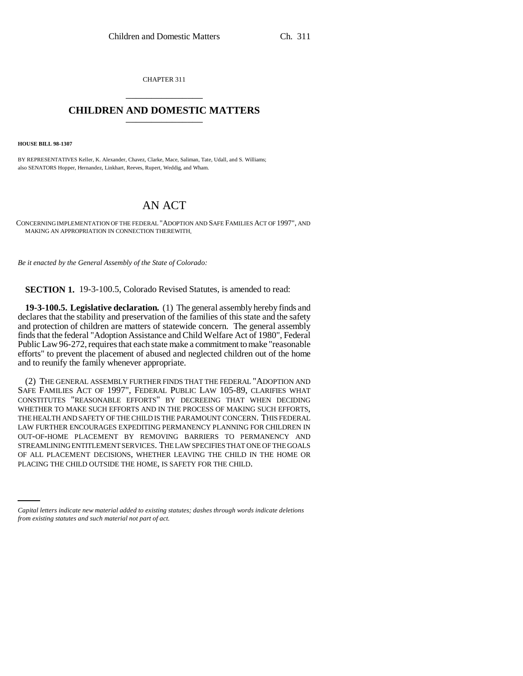CHAPTER 311 \_\_\_\_\_\_\_\_\_\_\_\_\_\_\_

## **CHILDREN AND DOMESTIC MATTERS** \_\_\_\_\_\_\_\_\_\_\_\_\_\_\_

**HOUSE BILL 98-1307**

BY REPRESENTATIVES Keller, K. Alexander, Chavez, Clarke, Mace, Saliman, Tate, Udall, and S. Williams; also SENATORS Hopper, Hernandez, Linkhart, Reeves, Rupert, Weddig, and Wham.

# AN ACT

CONCERNING IMPLEMENTATION OF THE FEDERAL "ADOPTION AND SAFE FAMILIES ACT OF 1997", AND MAKING AN APPROPRIATION IN CONNECTION THEREWITH.

*Be it enacted by the General Assembly of the State of Colorado:*

**SECTION 1.** 19-3-100.5, Colorado Revised Statutes, is amended to read:

**19-3-100.5. Legislative declaration.** (1) The general assembly hereby finds and declares that the stability and preservation of the families of this state and the safety and protection of children are matters of statewide concern. The general assembly finds that the federal "Adoption Assistance and Child Welfare Act of 1980", Federal Public Law 96-272, requires that each state make a commitment to make "reasonable efforts" to prevent the placement of abused and neglected children out of the home and to reunify the family whenever appropriate.

OF ALL PLACEMENT DECISIONS, WHETHER LEAVING THE CHILD IN THE HOME OR (2) THE GENERAL ASSEMBLY FURTHER FINDS THAT THE FEDERAL "ADOPTION AND SAFE FAMILIES ACT OF 1997", FEDERAL PUBLIC LAW 105-89, CLARIFIES WHAT CONSTITUTES "REASONABLE EFFORTS" BY DECREEING THAT WHEN DECIDING WHETHER TO MAKE SUCH EFFORTS AND IN THE PROCESS OF MAKING SUCH EFFORTS, THE HEALTH AND SAFETY OF THE CHILD IS THE PARAMOUNT CONCERN. THIS FEDERAL LAW FURTHER ENCOURAGES EXPEDITING PERMANENCY PLANNING FOR CHILDREN IN OUT-OF-HOME PLACEMENT BY REMOVING BARRIERS TO PERMANENCY AND STREAMLINING ENTITLEMENT SERVICES. THE LAW SPECIFIES THAT ONE OF THE GOALS PLACING THE CHILD OUTSIDE THE HOME, IS SAFETY FOR THE CHILD.

*Capital letters indicate new material added to existing statutes; dashes through words indicate deletions from existing statutes and such material not part of act.*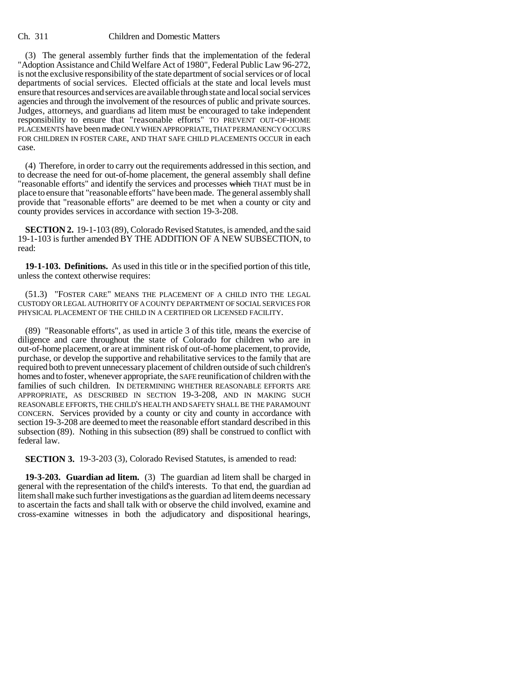(3) The general assembly further finds that the implementation of the federal "Adoption Assistance and Child Welfare Act of 1980", Federal Public Law 96-272, is not the exclusive responsibility of the state department of social services or of local departments of social services. Elected officials at the state and local levels must ensure that resources and services are available through state and local social services agencies and through the involvement of the resources of public and private sources. Judges, attorneys, and guardians ad litem must be encouraged to take independent responsibility to ensure that "reasonable efforts" TO PREVENT OUT-OF-HOME PLACEMENTS have been made ONLY WHEN APPROPRIATE, THAT PERMANENCY OCCURS FOR CHILDREN IN FOSTER CARE, AND THAT SAFE CHILD PLACEMENTS OCCUR in each case.

(4) Therefore, in order to carry out the requirements addressed in this section, and to decrease the need for out-of-home placement, the general assembly shall define "reasonable efforts" and identify the services and processes which THAT must be in place to ensure that "reasonable efforts" have been made. The general assembly shall provide that "reasonable efforts" are deemed to be met when a county or city and county provides services in accordance with section 19-3-208.

**SECTION 2.** 19-1-103 (89), Colorado Revised Statutes, is amended, and the said 19-1-103 is further amended BY THE ADDITION OF A NEW SUBSECTION, to read:

**19-1-103. Definitions.** As used in this title or in the specified portion of this title, unless the context otherwise requires:

(51.3) "FOSTER CARE" MEANS THE PLACEMENT OF A CHILD INTO THE LEGAL CUSTODY OR LEGAL AUTHORITY OF A COUNTY DEPARTMENT OF SOCIAL SERVICES FOR PHYSICAL PLACEMENT OF THE CHILD IN A CERTIFIED OR LICENSED FACILITY.

(89) "Reasonable efforts", as used in article 3 of this title, means the exercise of diligence and care throughout the state of Colorado for children who are in out-of-home placement, or are at imminent risk of out-of-home placement, to provide, purchase, or develop the supportive and rehabilitative services to the family that are required both to prevent unnecessary placement of children outside of such children's homes and to foster, whenever appropriate, the SAFE reunification of children with the families of such children. IN DETERMINING WHETHER REASONABLE EFFORTS ARE APPROPRIATE, AS DESCRIBED IN SECTION 19-3-208, AND IN MAKING SUCH REASONABLE EFFORTS, THE CHILD'S HEALTH AND SAFETY SHALL BE THE PARAMOUNT CONCERN. Services provided by a county or city and county in accordance with section 19-3-208 are deemed to meet the reasonable effort standard described in this subsection (89). Nothing in this subsection (89) shall be construed to conflict with federal law.

**SECTION 3.** 19-3-203 (3), Colorado Revised Statutes, is amended to read:

**19-3-203. Guardian ad litem.** (3) The guardian ad litem shall be charged in general with the representation of the child's interests. To that end, the guardian ad litem shall make such further investigations as the guardian ad litem deems necessary to ascertain the facts and shall talk with or observe the child involved, examine and cross-examine witnesses in both the adjudicatory and dispositional hearings,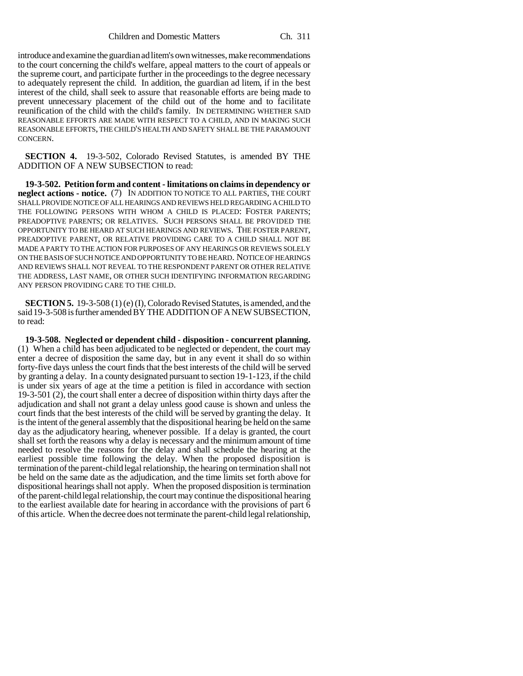introduce and examine the guardian ad litem's own witnesses, make recommendations to the court concerning the child's welfare, appeal matters to the court of appeals or the supreme court, and participate further in the proceedings to the degree necessary to adequately represent the child. In addition, the guardian ad litem, if in the best interest of the child, shall seek to assure that reasonable efforts are being made to prevent unnecessary placement of the child out of the home and to facilitate reunification of the child with the child's family. IN DETERMINING WHETHER SAID REASONABLE EFFORTS ARE MADE WITH RESPECT TO A CHILD, AND IN MAKING SUCH REASONABLE EFFORTS, THE CHILD'S HEALTH AND SAFETY SHALL BE THE PARAMOUNT CONCERN.

**SECTION 4.** 19-3-502, Colorado Revised Statutes, is amended BY THE ADDITION OF A NEW SUBSECTION to read:

**19-3-502. Petition form and content - limitations on claims in dependency or neglect actions - notice.** (7) IN ADDITION TO NOTICE TO ALL PARTIES, THE COURT SHALL PROVIDE NOTICE OF ALL HEARINGS AND REVIEWS HELD REGARDING A CHILD TO THE FOLLOWING PERSONS WITH WHOM A CHILD IS PLACED: FOSTER PARENTS; PREADOPTIVE PARENTS; OR RELATIVES. SUCH PERSONS SHALL BE PROVIDED THE OPPORTUNITY TO BE HEARD AT SUCH HEARINGS AND REVIEWS. THE FOSTER PARENT, PREADOPTIVE PARENT, OR RELATIVE PROVIDING CARE TO A CHILD SHALL NOT BE MADE A PARTY TO THE ACTION FOR PURPOSES OF ANY HEARINGS OR REVIEWS SOLELY ON THE BASIS OF SUCH NOTICE AND OPPORTUNITY TO BE HEARD. NOTICE OF HEARINGS AND REVIEWS SHALL NOT REVEAL TO THE RESPONDENT PARENT OR OTHER RELATIVE THE ADDRESS, LAST NAME, OR OTHER SUCH IDENTIFYING INFORMATION REGARDING ANY PERSON PROVIDING CARE TO THE CHILD.

**SECTION 5.** 19-3-508 (1) (e) (I), Colorado Revised Statutes, is amended, and the said 19-3-508 is further amended BY THE ADDITION OF A NEW SUBSECTION, to read:

**19-3-508. Neglected or dependent child - disposition - concurrent planning.** (1) When a child has been adjudicated to be neglected or dependent, the court may enter a decree of disposition the same day, but in any event it shall do so within forty-five days unless the court finds that the best interests of the child will be served by granting a delay. In a county designated pursuant to section 19-1-123, if the child is under six years of age at the time a petition is filed in accordance with section 19-3-501 (2), the court shall enter a decree of disposition within thirty days after the adjudication and shall not grant a delay unless good cause is shown and unless the court finds that the best interests of the child will be served by granting the delay. It is the intent of the general assembly that the dispositional hearing be held on the same day as the adjudicatory hearing, whenever possible. If a delay is granted, the court shall set forth the reasons why a delay is necessary and the minimum amount of time needed to resolve the reasons for the delay and shall schedule the hearing at the earliest possible time following the delay. When the proposed disposition is termination of the parent-child legal relationship, the hearing on termination shall not be held on the same date as the adjudication, and the time limits set forth above for dispositional hearings shall not apply. When the proposed disposition is termination of the parent-child legal relationship, the court may continue the dispositional hearing to the earliest available date for hearing in accordance with the provisions of part 6 of this article. When the decree does not terminate the parent-child legal relationship,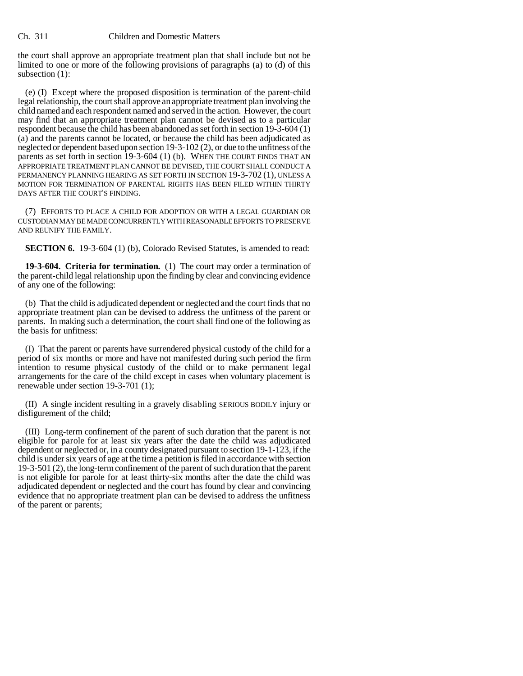the court shall approve an appropriate treatment plan that shall include but not be limited to one or more of the following provisions of paragraphs (a) to (d) of this subsection (1):

(e) (I) Except where the proposed disposition is termination of the parent-child legal relationship, the court shall approve an appropriate treatment plan involving the child named and each respondent named and served in the action. However, the court may find that an appropriate treatment plan cannot be devised as to a particular respondent because the child has been abandoned as set forth in section 19-3-604 (1) (a) and the parents cannot be located, or because the child has been adjudicated as neglected or dependent based upon section 19-3-102 (2), or due to the unfitness of the parents as set forth in section 19-3-604 (1) (b). WHEN THE COURT FINDS THAT AN APPROPRIATE TREATMENT PLAN CANNOT BE DEVISED, THE COURT SHALL CONDUCT A PERMANENCY PLANNING HEARING AS SET FORTH IN SECTION 19-3-702 (1), UNLESS A MOTION FOR TERMINATION OF PARENTAL RIGHTS HAS BEEN FILED WITHIN THIRTY DAYS AFTER THE COURT'S FINDING.

(7) EFFORTS TO PLACE A CHILD FOR ADOPTION OR WITH A LEGAL GUARDIAN OR CUSTODIAN MAY BE MADE CONCURRENTLY WITH REASONABLE EFFORTS TO PRESERVE AND REUNIFY THE FAMILY.

**SECTION 6.** 19-3-604 (1) (b), Colorado Revised Statutes, is amended to read:

**19-3-604. Criteria for termination.** (1) The court may order a termination of the parent-child legal relationship upon the finding by clear and convincing evidence of any one of the following:

(b) That the child is adjudicated dependent or neglected and the court finds that no appropriate treatment plan can be devised to address the unfitness of the parent or parents. In making such a determination, the court shall find one of the following as the basis for unfitness:

(I) That the parent or parents have surrendered physical custody of the child for a period of six months or more and have not manifested during such period the firm intention to resume physical custody of the child or to make permanent legal arrangements for the care of the child except in cases when voluntary placement is renewable under section 19-3-701 (1);

(II) A single incident resulting in a gravely disabling SERIOUS BODILY injury or disfigurement of the child;

(III) Long-term confinement of the parent of such duration that the parent is not eligible for parole for at least six years after the date the child was adjudicated dependent or neglected or, in a county designated pursuant to section 19-1-123, if the child is under six years of age at the time a petition is filed in accordance with section 19-3-501 (2), the long-term confinement of the parent of such duration that the parent is not eligible for parole for at least thirty-six months after the date the child was adjudicated dependent or neglected and the court has found by clear and convincing evidence that no appropriate treatment plan can be devised to address the unfitness of the parent or parents;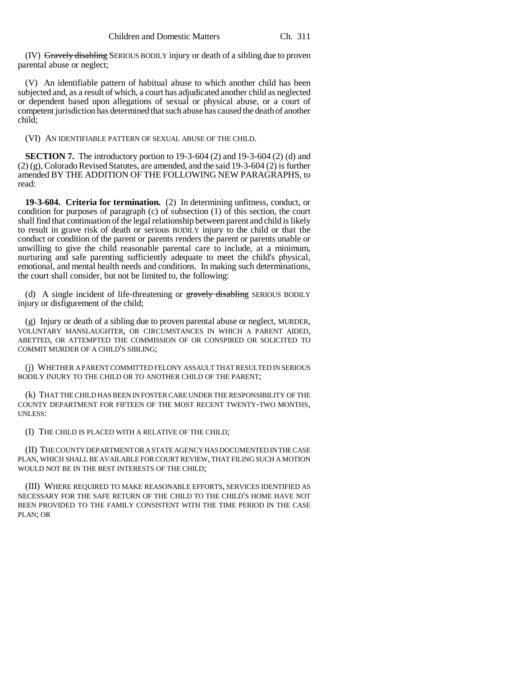(IV) Gravely disabling SERIOUS BODILY injury or death of a sibling due to proven parental abuse or neglect;

(V) An identifiable pattern of habitual abuse to which another child has been subjected and, as a result of which, a court has adjudicated another child as neglected or dependent based upon allegations of sexual or physical abuse, or a court of competent jurisdiction has determined that such abuse has caused the death of another child;

(VI) AN IDENTIFIABLE PATTERN OF SEXUAL ABUSE OF THE CHILD.

**SECTION 7.** The introductory portion to 19-3-604 (2) and 19-3-604 (2) (d) and (2) (g), Colorado Revised Statutes, are amended, and the said 19-3-604 (2) is further amended BY THE ADDITION OF THE FOLLOWING NEW PARAGRAPHS, to read:

**19-3-604. Criteria for termination.** (2) In determining unfitness, conduct, or condition for purposes of paragraph (c) of subsection (1) of this section, the court shall find that continuation of the legal relationship between parent and child is likely to result in grave risk of death or serious BODILY injury to the child or that the conduct or condition of the parent or parents renders the parent or parents unable or unwilling to give the child reasonable parental care to include, at a minimum, nurturing and safe parenting sufficiently adequate to meet the child's physical, emotional, and mental health needs and conditions. In making such determinations, the court shall consider, but not be limited to, the following:

(d) A single incident of life-threatening or gravely disabling SERIOUS BODILY injury or disfigurement of the child;

(g) Injury or death of a sibling due to proven parental abuse or neglect, MURDER, VOLUNTARY MANSLAUGHTER, OR CIRCUMSTANCES IN WHICH A PARENT AIDED, ABETTED, OR ATTEMPTED THE COMMISSION OF OR CONSPIRED OR SOLICITED TO COMMIT MURDER OF A CHILD'S SIBLING;

(j) WHETHER A PARENT COMMITTED FELONY ASSAULT THAT RESULTED IN SERIOUS BODILY INJURY TO THE CHILD OR TO ANOTHER CHILD OF THE PARENT;

(k) THAT THE CHILD HAS BEEN IN FOSTER CARE UNDER THE RESPONSIBILITY OF THE COUNTY DEPARTMENT FOR FIFTEEN OF THE MOST RECENT TWENTY-TWO MONTHS, UNLESS:

(I) THE CHILD IS PLACED WITH A RELATIVE OF THE CHILD;

(II) THE COUNTY DEPARTMENT OR A STATE AGENCY HAS DOCUMENTED IN THE CASE PLAN, WHICH SHALL BE AVAILABLE FOR COURT REVIEW, THAT FILING SUCH A MOTION WOULD NOT BE IN THE BEST INTERESTS OF THE CHILD;

(III) WHERE REQUIRED TO MAKE REASONABLE EFFORTS, SERVICES IDENTIFIED AS NECESSARY FOR THE SAFE RETURN OF THE CHILD TO THE CHILD'S HOME HAVE NOT BEEN PROVIDED TO THE FAMILY CONSISTENT WITH THE TIME PERIOD IN THE CASE PLAN; OR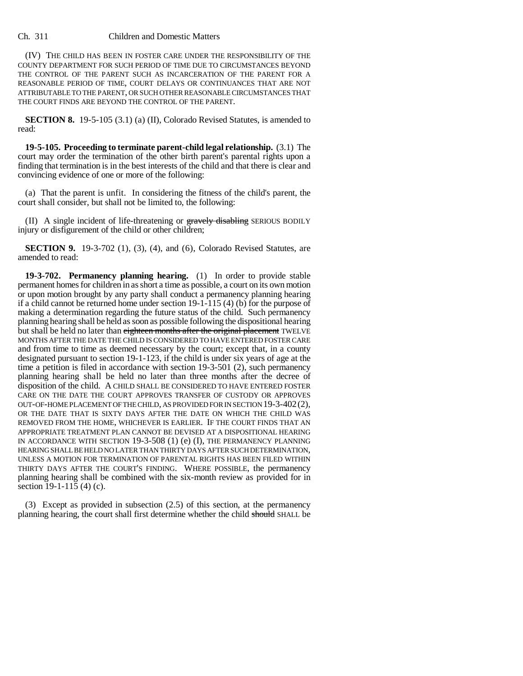(IV) THE CHILD HAS BEEN IN FOSTER CARE UNDER THE RESPONSIBILITY OF THE COUNTY DEPARTMENT FOR SUCH PERIOD OF TIME DUE TO CIRCUMSTANCES BEYOND THE CONTROL OF THE PARENT SUCH AS INCARCERATION OF THE PARENT FOR A REASONABLE PERIOD OF TIME, COURT DELAYS OR CONTINUANCES THAT ARE NOT ATTRIBUTABLE TO THE PARENT, OR SUCH OTHER REASONABLE CIRCUMSTANCES THAT THE COURT FINDS ARE BEYOND THE CONTROL OF THE PARENT.

**SECTION 8.** 19-5-105 (3.1) (a) (II), Colorado Revised Statutes, is amended to read:

**19-5-105. Proceeding to terminate parent-child legal relationship.** (3.1) The court may order the termination of the other birth parent's parental rights upon a finding that termination is in the best interests of the child and that there is clear and convincing evidence of one or more of the following:

(a) That the parent is unfit. In considering the fitness of the child's parent, the court shall consider, but shall not be limited to, the following:

(II) A single incident of life-threatening or gravely disabling SERIOUS BODILY injury or disfigurement of the child or other children;

**SECTION 9.** 19-3-702 (1), (3), (4), and (6), Colorado Revised Statutes, are amended to read:

**19-3-702. Permanency planning hearing.** (1) In order to provide stable permanent homes for children in as short a time as possible, a court on its own motion or upon motion brought by any party shall conduct a permanency planning hearing if a child cannot be returned home under section 19-1-115 (4) (b) for the purpose of making a determination regarding the future status of the child. Such permanency planning hearing shall be held as soon as possible following the dispositional hearing but shall be held no later than eighteen months after the original placement TWELVE MONTHS AFTER THE DATE THE CHILD IS CONSIDERED TO HAVE ENTERED FOSTER CARE and from time to time as deemed necessary by the court; except that, in a county designated pursuant to section 19-1-123, if the child is under six years of age at the time a petition is filed in accordance with section 19-3-501 (2), such permanency planning hearing shall be held no later than three months after the decree of disposition of the child. A CHILD SHALL BE CONSIDERED TO HAVE ENTERED FOSTER CARE ON THE DATE THE COURT APPROVES TRANSFER OF CUSTODY OR APPROVES OUT-OF-HOME PLACEMENT OF THE CHILD, AS PROVIDED FOR IN SECTION 19-3-402(2), OR THE DATE THAT IS SIXTY DAYS AFTER THE DATE ON WHICH THE CHILD WAS REMOVED FROM THE HOME, WHICHEVER IS EARLIER. IF THE COURT FINDS THAT AN APPROPRIATE TREATMENT PLAN CANNOT BE DEVISED AT A DISPOSITIONAL HEARING IN ACCORDANCE WITH SECTION 19-3-508 (1) (e) (I), THE PERMANENCY PLANNING HEARING SHALL BE HELD NO LATER THAN THIRTY DAYS AFTER SUCH DETERMINATION, UNLESS A MOTION FOR TERMINATION OF PARENTAL RIGHTS HAS BEEN FILED WITHIN THIRTY DAYS AFTER THE COURT'S FINDING. WHERE POSSIBLE, the permanency planning hearing shall be combined with the six-month review as provided for in section 19-1-115 (4) (c).

(3) Except as provided in subsection (2.5) of this section, at the permanency planning hearing, the court shall first determine whether the child should SHALL be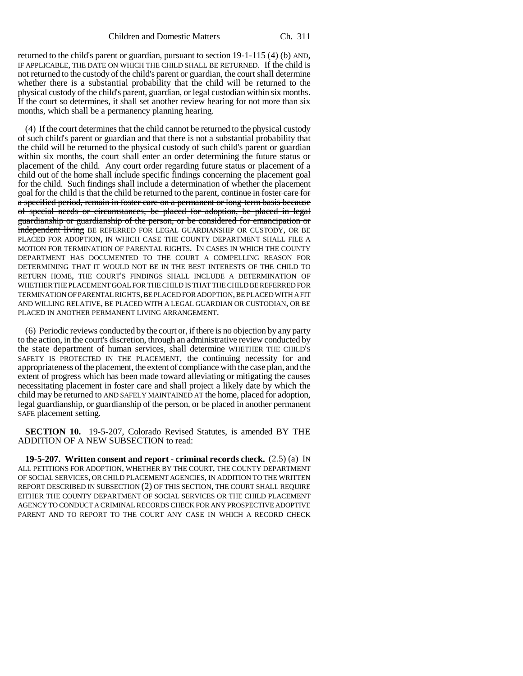returned to the child's parent or guardian, pursuant to section 19-1-115 (4) (b) AND, IF APPLICABLE, THE DATE ON WHICH THE CHILD SHALL BE RETURNED. If the child is not returned to the custody of the child's parent or guardian, the court shall determine whether there is a substantial probability that the child will be returned to the physical custody of the child's parent, guardian, or legal custodian within six months. If the court so determines, it shall set another review hearing for not more than six months, which shall be a permanency planning hearing.

(4) If the court determines that the child cannot be returned to the physical custody of such child's parent or guardian and that there is not a substantial probability that the child will be returned to the physical custody of such child's parent or guardian within six months, the court shall enter an order determining the future status or placement of the child. Any court order regarding future status or placement of a child out of the home shall include specific findings concerning the placement goal for the child. Such findings shall include a determination of whether the placement goal for the child is that the child be returned to the parent, continue in foster care for a specified period, remain in foster care on a permanent or long-term basis because of special needs or circumstances, be placed for adoption, be placed in legal guardianship or guardianship of the person, or be considered for emancipation or independent living BE REFERRED FOR LEGAL GUARDIANSHIP OR CUSTODY, OR BE PLACED FOR ADOPTION, IN WHICH CASE THE COUNTY DEPARTMENT SHALL FILE A MOTION FOR TERMINATION OF PARENTAL RIGHTS. IN CASES IN WHICH THE COUNTY DEPARTMENT HAS DOCUMENTED TO THE COURT A COMPELLING REASON FOR DETERMINING THAT IT WOULD NOT BE IN THE BEST INTERESTS OF THE CHILD TO RETURN HOME, THE COURT'S FINDINGS SHALL INCLUDE A DETERMINATION OF WHETHER THE PLACEMENT GOAL FOR THE CHILD IS THAT THE CHILD BE REFERRED FOR TERMINATION OF PARENTAL RIGHTS, BE PLACED FOR ADOPTION, BE PLACED WITH A FIT AND WILLING RELATIVE, BE PLACED WITH A LEGAL GUARDIAN OR CUSTODIAN, OR BE PLACED IN ANOTHER PERMANENT LIVING ARRANGEMENT.

(6) Periodic reviews conducted by the court or, if there is no objection by any party to the action, in the court's discretion, through an administrative review conducted by the state department of human services, shall determine WHETHER THE CHILD'S SAFETY IS PROTECTED IN THE PLACEMENT, the continuing necessity for and appropriateness of the placement, the extent of compliance with the case plan, and the extent of progress which has been made toward alleviating or mitigating the causes necessitating placement in foster care and shall project a likely date by which the child may be returned to AND SAFELY MAINTAINED AT the home, placed for adoption, legal guardianship, or guardianship of the person, or be placed in another permanent SAFE placement setting.

**SECTION 10.** 19-5-207, Colorado Revised Statutes, is amended BY THE ADDITION OF A NEW SUBSECTION to read:

**19-5-207. Written consent and report - criminal records check.** (2.5) (a) IN ALL PETITIONS FOR ADOPTION, WHETHER BY THE COURT, THE COUNTY DEPARTMENT OF SOCIAL SERVICES, OR CHILD PLACEMENT AGENCIES, IN ADDITION TO THE WRITTEN REPORT DESCRIBED IN SUBSECTION (2) OF THIS SECTION, THE COURT SHALL REQUIRE EITHER THE COUNTY DEPARTMENT OF SOCIAL SERVICES OR THE CHILD PLACEMENT AGENCY TO CONDUCT A CRIMINAL RECORDS CHECK FOR ANY PROSPECTIVE ADOPTIVE PARENT AND TO REPORT TO THE COURT ANY CASE IN WHICH A RECORD CHECK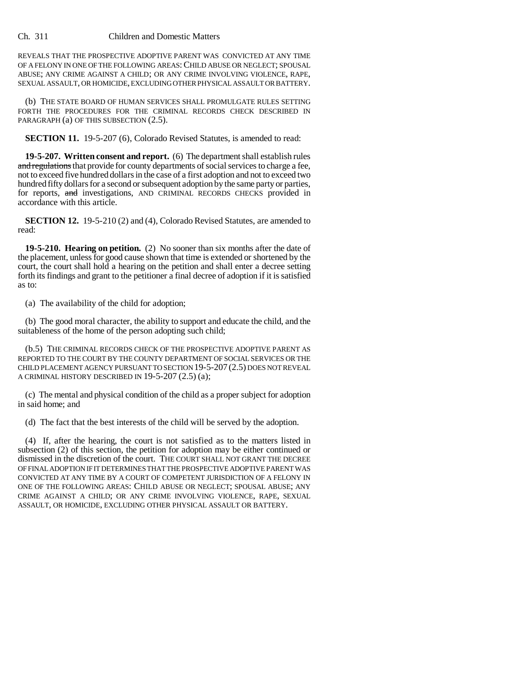REVEALS THAT THE PROSPECTIVE ADOPTIVE PARENT WAS CONVICTED AT ANY TIME OF A FELONY IN ONE OF THE FOLLOWING AREAS: CHILD ABUSE OR NEGLECT; SPOUSAL ABUSE; ANY CRIME AGAINST A CHILD; OR ANY CRIME INVOLVING VIOLENCE, RAPE, SEXUAL ASSAULT, OR HOMICIDE, EXCLUDING OTHER PHYSICAL ASSAULT OR BATTERY.

(b) THE STATE BOARD OF HUMAN SERVICES SHALL PROMULGATE RULES SETTING FORTH THE PROCEDURES FOR THE CRIMINAL RECORDS CHECK DESCRIBED IN PARAGRAPH (a) OF THIS SUBSECTION  $(2.5)$ .

**SECTION 11.** 19-5-207 (6), Colorado Revised Statutes, is amended to read:

**19-5-207. Written consent and report.** (6) The department shall establish rules and regulations that provide for county departments of social services to charge a fee, not to exceed five hundred dollars in the case of a first adoption and not to exceed two hundred fifty dollars for a second or subsequent adoption by the same party or parties, for reports, and investigations, AND CRIMINAL RECORDS CHECKS provided in accordance with this article.

**SECTION 12.** 19-5-210 (2) and (4), Colorado Revised Statutes, are amended to read:

**19-5-210. Hearing on petition.** (2) No sooner than six months after the date of the placement, unless for good cause shown that time is extended or shortened by the court, the court shall hold a hearing on the petition and shall enter a decree setting forth its findings and grant to the petitioner a final decree of adoption if it is satisfied as to:

(a) The availability of the child for adoption;

(b) The good moral character, the ability to support and educate the child, and the suitableness of the home of the person adopting such child;

(b.5) THE CRIMINAL RECORDS CHECK OF THE PROSPECTIVE ADOPTIVE PARENT AS REPORTED TO THE COURT BY THE COUNTY DEPARTMENT OF SOCIAL SERVICES OR THE CHILD PLACEMENT AGENCY PURSUANT TO SECTION 19-5-207 (2.5) DOES NOT REVEAL A CRIMINAL HISTORY DESCRIBED IN 19-5-207 (2.5) (a);

(c) The mental and physical condition of the child as a proper subject for adoption in said home; and

(d) The fact that the best interests of the child will be served by the adoption.

(4) If, after the hearing, the court is not satisfied as to the matters listed in subsection (2) of this section, the petition for adoption may be either continued or dismissed in the discretion of the court. THE COURT SHALL NOT GRANT THE DECREE OF FINAL ADOPTION IF IT DETERMINES THAT THE PROSPECTIVE ADOPTIVE PARENT WAS CONVICTED AT ANY TIME BY A COURT OF COMPETENT JURISDICTION OF A FELONY IN ONE OF THE FOLLOWING AREAS: CHILD ABUSE OR NEGLECT; SPOUSAL ABUSE; ANY CRIME AGAINST A CHILD; OR ANY CRIME INVOLVING VIOLENCE, RAPE, SEXUAL ASSAULT, OR HOMICIDE, EXCLUDING OTHER PHYSICAL ASSAULT OR BATTERY.